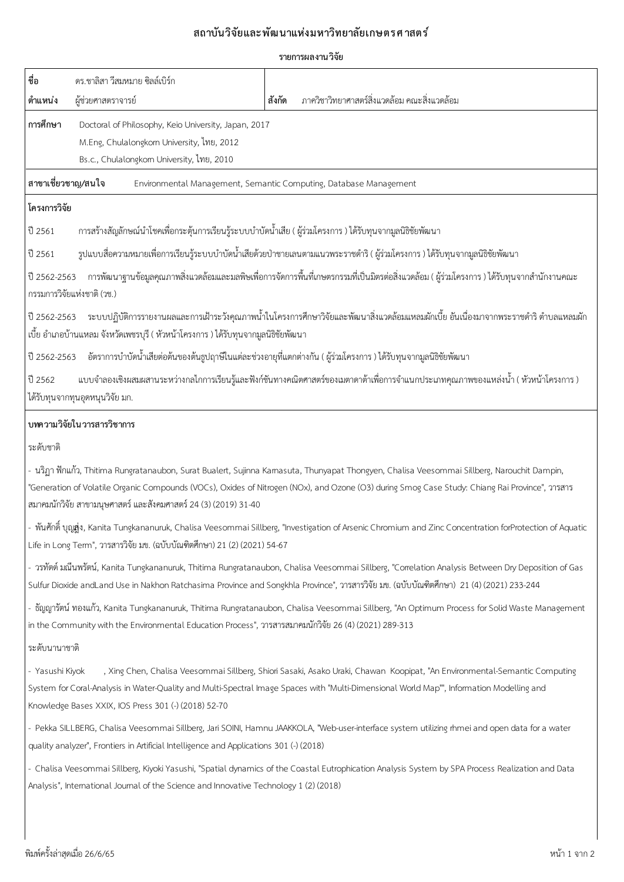## ี่สถาบันวิจัยและพัฒนาแห่งมหาวิทยาลัยเกษตรศาสตร์

## **รายการผลงานววจบย**

| ชื่อ                                                                                                                                                                                                                                                                                                                                                               | ดร.ชาลิสา วีสมหมาย ซิลล์เบิร์ก                                                                                                                  |                                                                                                                                                                                                                                                                         |  |  |  |  |
|--------------------------------------------------------------------------------------------------------------------------------------------------------------------------------------------------------------------------------------------------------------------------------------------------------------------------------------------------------------------|-------------------------------------------------------------------------------------------------------------------------------------------------|-------------------------------------------------------------------------------------------------------------------------------------------------------------------------------------------------------------------------------------------------------------------------|--|--|--|--|
| ตำแหน่ง                                                                                                                                                                                                                                                                                                                                                            | ผู้ช่วยศาสตราจารย์                                                                                                                              | ภาควิชาวิทยาศาสตร์สิ่งแวดล้อม คณะสิ่งแวดล้อม<br>สังกัด                                                                                                                                                                                                                  |  |  |  |  |
| การศึกษา                                                                                                                                                                                                                                                                                                                                                           | Doctoral of Philosophy, Keio University, Japan, 2017<br>M.Eng, Chulalongkorn University, ไทย, 2012<br>Bs.c., Chulalongkom University, ไทย, 2010 |                                                                                                                                                                                                                                                                         |  |  |  |  |
| สาขาเชี่ยวชาญ/สนใจ<br>Environmental Management, Semantic Computing, Database Management                                                                                                                                                                                                                                                                            |                                                                                                                                                 |                                                                                                                                                                                                                                                                         |  |  |  |  |
| โครงการวิจัย                                                                                                                                                                                                                                                                                                                                                       |                                                                                                                                                 |                                                                                                                                                                                                                                                                         |  |  |  |  |
| ปี 2561                                                                                                                                                                                                                                                                                                                                                            | ่ การสร้างสัญลักษณ์นำโชคเพื่อกระตุ้นการเรียนรู้ระบบบำบัดน้ำเสีย ( ผู้ร่วมโครงการ ) ได้รับทุนจากมูลนิธิชัยพัฒนา                                  |                                                                                                                                                                                                                                                                         |  |  |  |  |
| ปี 2561                                                                                                                                                                                                                                                                                                                                                            | รูปแบบสื่อความหมายเพื่อการเรียนรู้ระบบบำบัดน้ำเสียด้วยป่าชายเลนตามแนวพระราชดำริ ( ผู้ร่วมโครงการ ) ได้รับทุนจากมูลนิธิชัยพัฒนา                  |                                                                                                                                                                                                                                                                         |  |  |  |  |
| ่ การพัฒนาฐานข้อมูลคุณภาพสิ่งแวดล้อมและมลพิษเพื่อการจัดการพื้นที่เกษตรกรรมที่เป็นมิตรต่อสิ่งแวดล้อม ( ผู้ร่วมโครงการ ) ได้รับทุนจากสำนักงานคณะ<br>ปี 2562-2563<br>กรรมการวิจัยแห่งชาติ (วช.)                                                                                                                                                                       |                                                                                                                                                 |                                                                                                                                                                                                                                                                         |  |  |  |  |
| ้ระบบปฏิบัติการรายงานผลและการเฝ้าระวังคุณภาพน้ำในโครงการศึกษาวิจัยและพัฒนาสิ่งแวดล้อมแหลมผักเบี้ย อันเนื่องมาจากพระราชดำริ ตำบลแหลมผัก<br>ปี 2562-2563<br>เบี้ย อำเภอบ้านแหลม จังหวัดเพชรบุรี ( หัวหน้าโครงการ ) ได้รับทุนจากมูลนิธิชัยพัฒนา                                                                                                                       |                                                                                                                                                 |                                                                                                                                                                                                                                                                         |  |  |  |  |
| ปี 2562-2563                                                                                                                                                                                                                                                                                                                                                       |                                                                                                                                                 | ้อัตราการบำบัดน้ำเสียต่อต้นของต้นธูปฤาษีในแต่ละช่วงอายุที่แตกต่างกัน ( ผู้ร่วมโครงการ ) ได้รับทุนจากมูลนิธิชัยพัฒนา                                                                                                                                                     |  |  |  |  |
| แบบจำลองเชิงผสมผสานระหว่างกลไกการเรียนรู้และฟังก์ชันทางคณิตศาสตร์ของเมตาดาต้าเพื่อการจำแนกประเภทคุณภาพของแหล่งน้ำ ( หัวหน้าโครงการ )<br>ปี 2562<br>ได้รับทุนจากทุนอุดหนุนวิจัย มก.                                                                                                                                                                                 |                                                                                                                                                 |                                                                                                                                                                                                                                                                         |  |  |  |  |
| บทความวิจัยในวารสารวิชาการ                                                                                                                                                                                                                                                                                                                                         |                                                                                                                                                 |                                                                                                                                                                                                                                                                         |  |  |  |  |
| ระดับชาติ                                                                                                                                                                                                                                                                                                                                                          |                                                                                                                                                 |                                                                                                                                                                                                                                                                         |  |  |  |  |
| - นริฏา ฟักแก้ว, Thitima Rungratanaubon, Surat Bualert, Sujinna Kamasuta, Thunyapat Thongyen, Chalisa Veesommai Sillberg, Narouchit Dampin,<br>"Generation of Volatile Organic Compounds (VOCs), Oxides of Nitrogen (NOx), and Ozone (O3) during Smog Case Study: Chiang Rai Province", 21% ans<br>สมาคมนักวิจัย สาขามนุษศาสตร์ และสังคมศาสตร์ 24 (3) (2019) 31-40 |                                                                                                                                                 |                                                                                                                                                                                                                                                                         |  |  |  |  |
| - พันศักดิ์ บุญ <b>ส</b> ุ่ง, Kanita Tungkananuruk, Chalisa Veesommai Sillberg, "Investigation of Arsenic Chromium and Zinc Concentration forProtection of Aquatic<br>Life in Long Term", วารสารวิจัย มข. (ฉบับบัณฑิตศึกษา) 21 (2) (2021) 54-67                                                                                                                    |                                                                                                                                                 |                                                                                                                                                                                                                                                                         |  |  |  |  |
| - วรทัตต์ มณีนพรัตน์, Kanita Tungkananuruk, Thitima Rungratanaubon, Chalisa Veesommai Sillberg, "Correlation Analysis Between Dry Deposition of Gas<br>Sulfur Dioxide andLand Use in Nakhon Ratchasima Province and Songkhla Province", วารสารวิจัย มข. (ฉบับบัณฑิตศึกษา) 21 (4) (2021) 233-244                                                                    |                                                                                                                                                 |                                                                                                                                                                                                                                                                         |  |  |  |  |
| - ธัญญารัตน์ ทองแก้ว, Kanita Tungkananuruk, Thitima Rungratanaubon, Chalisa Veesommai Sillberg, "An Optimum Process for Solid Waste Management<br>in the Community with the Environmental Education Process", วารสารสมาคมนักวิจัย 26 (4) (2021) 289-313                                                                                                            |                                                                                                                                                 |                                                                                                                                                                                                                                                                         |  |  |  |  |
| ระดับนานาชาติ                                                                                                                                                                                                                                                                                                                                                      |                                                                                                                                                 |                                                                                                                                                                                                                                                                         |  |  |  |  |
| - Yasushi Kiyok                                                                                                                                                                                                                                                                                                                                                    | Knowledge Bases XXIX, IOS Press 301 (-) (2018) 52-70                                                                                            | , Xing Chen, Chalisa Veesommai Sillberg, Shiori Sasaki, Asako Uraki, Chawan Koopipat, "An Environmental-Semantic Computing<br>System for Coral-Analysis in Water-Quality and Multi-Spectral Image Spaces with "Multi-Dimensional World Map"", Information Modelling and |  |  |  |  |
| - Pekka SILLBERG, Chalisa Veesommai Sillberg, Jari SOINI, Hamnu JAAKKOLA, "Web-user-interface system utilizing rhmei and open data for a water<br>quality analyzer", Frontiers in Artificial Intelligence and Applications 301 (-) (2018)                                                                                                                          |                                                                                                                                                 |                                                                                                                                                                                                                                                                         |  |  |  |  |
|                                                                                                                                                                                                                                                                                                                                                                    | Analysis", Intemational Joumal of the Science and Innovative Technology 1 (2) (2018)                                                            | - Chalisa Veesommai Sillberg, Kiyoki Yasushi, "Spatial dynamics of the Coastal Eutrophication Analysis System by SPA Process Realization and Data                                                                                                                       |  |  |  |  |